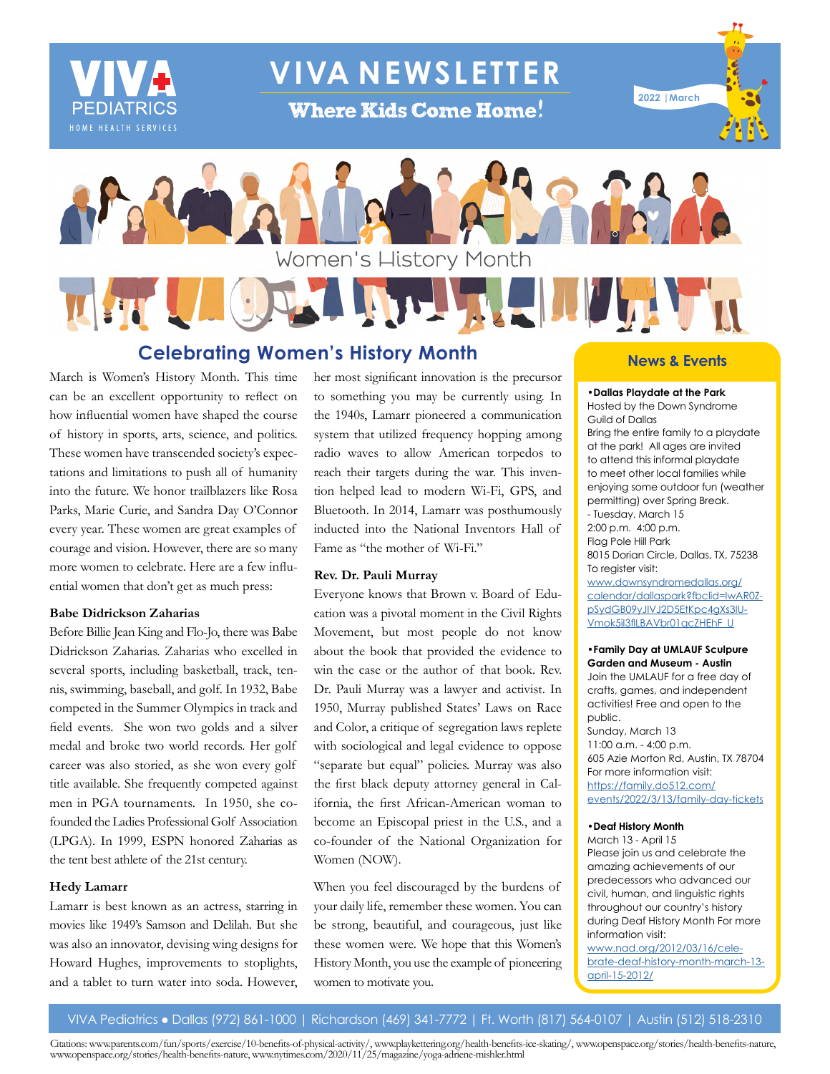

**VIVA NEWSLETTER**

**Where Kids Come Home!** 





**Celebrating Women's History Month**

March is Women's History Month. This time can be an excellent opportunity to reflect on how influential women have shaped the course of history in sports, arts, science, and politics. These women have transcended society's expectations and limitations to push all of humanity into the future. We honor trailblazers like Rosa Parks, Marie Curie, and Sandra Day O'Connor every year. These women are great examples of courage and vision. However, there are so many more women to celebrate. Here are a few influential women that don't get as much press:

# **Babe Didrickson Zaharias**

Before Billie Jean King and Flo-Jo, there was Babe Didrickson Zaharias. Zaharias who excelled in several sports, including basketball, track, tennis, swimming, baseball, and golf. In 1932, Babe competed in the Summer Olympics in track and field events. She won two golds and a silver medal and broke two world records. Her golf career was also storied, as she won every golf title available. She frequently competed against men in PGA tournaments. In 1950, she cofounded the Ladies Professional Golf Association (LPGA). In 1999, ESPN honored Zaharias as the tent best athlete of the 21st century.

# **Hedy Lamarr**

Lamarr is best known as an actress, starring in movies like 1949's Samson and Delilah. But she was also an innovator, devising wing designs for Howard Hughes, improvements to stoplights, and a tablet to turn water into soda. However, her most significant innovation is the precursor to something you may be currently using. In the 1940s, Lamarr pioneered a communication system that utilized frequency hopping among radio waves to allow American torpedos to reach their targets during the war. This invention helped lead to modern Wi-Fi, GPS, and Bluetooth. In 2014, Lamarr was posthumously inducted into the National Inventors Hall of Fame as "the mother of Wi-Fi."

# **Rev. Dr. Pauli Murray**

Everyone knows that Brown v. Board of Education was a pivotal moment in the Civil Rights Movement, but most people do not know about the book that provided the evidence to win the case or the author of that book. Rev. Dr. Pauli Murray was a lawyer and activist. In 1950, Murray published States' Laws on Race and Color, a critique of segregation laws replete with sociological and legal evidence to oppose "separate but equal" policies. Murray was also the first black deputy attorney general in California, the first African-American woman to become an Episcopal priest in the U.S., and a co-founder of the National Organization for Women (NOW).

When you feel discouraged by the burdens of your daily life, remember these women. You can be strong, beautiful, and courageous, just like these women were. We hope that this Women's History Month, you use the example of pioneering women to motivate you.

# **News & Events**

**•Dallas Playdate at the Park** Hosted by the Down Syndrome Guild of Dallas Bring the entire family to a playdate at the park! All ages are invited to attend this informal playdate to meet other local families while enjoying some outdoor fun (weather permitting) over Spring Break. - Tuesday, March 15 2:00 p.m. 4:00 p.m. Flag Pole Hill Park 8015 Dorian Circle, Dallas, TX, 75238 To register visit: [www.downsyndromedallas.org/](https://www.downsyndromedallas.org/calendar/dallaspark?fbclid=IwAR0ZpSydGB09yJIVJ2D5EtKpc4gXs3IUVmok5iI3flLBAVbr01qcZHEhF_U) [calendar/dallaspark?fbclid=IwAR0Z](https://www.downsyndromedallas.org/calendar/dallaspark?fbclid=IwAR0ZpSydGB09yJIVJ2D5EtKpc4gXs3IUVmok5iI3flLBAVbr01qcZHEhF_U)[pSydGB09yJIVJ2D5EtKpc4gXs3IU-](https://www.downsyndromedallas.org/calendar/dallaspark?fbclid=IwAR0ZpSydGB09yJIVJ2D5EtKpc4gXs3IUVmok5iI3flLBAVbr01qcZHEhF_U)[Vmok5iI3flLBAVbr01qcZHEhF\\_U](https://www.downsyndromedallas.org/calendar/dallaspark?fbclid=IwAR0ZpSydGB09yJIVJ2D5EtKpc4gXs3IUVmok5iI3flLBAVbr01qcZHEhF_U)

#### **•Family Day at UMLAUF Sculpure Garden and Museum - Austin**

Join the UMLAUF for a free day of crafts, games, and independent activities! Free and open to the public.

Sunday, March 13 11:00 a.m. - 4:00 p.m. 605 Azie Morton Rd, Austin, TX 78704 For more information visit: [https://family.do512.com/](https://family.do512.com/events/2022/3/13/family-day-ticket) [events/2022/3/13/family-day-ticket](https://family.do512.com/events/2022/3/13/family-day-ticket)s

# **•Deaf History Month**

March 13 - April 15 Please join us and celebrate the amazing achievements of our predecessors who advanced our civil, human, and linguistic rights throughout our country's history during Deaf History Month For more information visit:

[www.nad.org/2012/03/16/cele](http://www.nad.org/2012/03/16/celebrate-deaf-history-month-march-13-april-15-2012/)[brate-deaf-history-month-march-13](http://www.nad.org/2012/03/16/celebrate-deaf-history-month-march-13-april-15-2012/) [april-15-2012/](http://www.nad.org/2012/03/16/celebrate-deaf-history-month-march-13-april-15-2012/)

VIVA Pediatrics ● Dallas (972) 861-1000 | Richardson (469) 341-7772 | Ft. Worth (817) 564-0107 | Austin (512) 518-2310

Citations: www.parents.com/fun/sports/exercise/10-benefits-of-physical-activity/, www.playkettering.org/health-benefits-ice-skating/, www.openspace.org/stories/health-benefits-nature, www.openspace.org/stories/health-benefits-nature, www.nytimes.com/2020/11/25/magazine/yoga-adriene-mishler.html